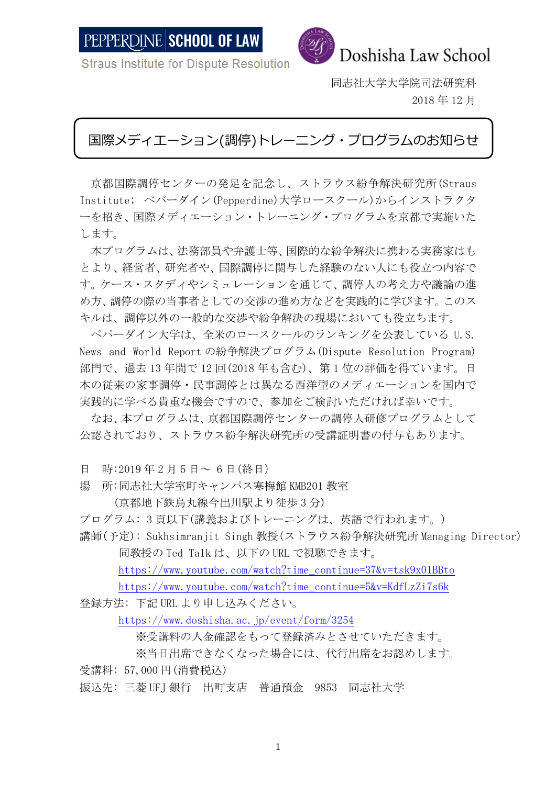

**Straus Institute for Dispute Resolution** 

同志社大学大学院司法研究科 2018 年 12 月

## 国際メディエーション(調停)トレーニング・プログラムのお知らせ

京都国際調停センターの発足を記念し、ストラウス紛争解決研究所(Straus Institute; ペパーダイン(Pepperdine)大学ロースクール)からインストラクタ ーを招き、国際メディエーション・トレーニング・プログラムを京都で実施いた します。

本プログラムは、法務部員や弁護士等、国際的な紛争解決に携わる実務家はも とより、経営者、研究者や、国際調停に関与した経験のない人にも役立つ内容で す。ケース・スタディやシミュレーションを通じて、調停人の考え方や議論の進 め方、調停の際の当事者としての交渉の進め方などを実践的に学びます。このス キルは、調停以外の一般的な交渉や紛争解決の現場においても役立ちます。

ペパーダイン大学は、全米のロースクールのランキングを公表している U.S. News and World Report の紛争解決プログラム(Dispute Resolution Program) 部門で、過去 13 年間で 12 回(2018 年も含む)、第 1 位の評価を得ています。日 本の従来の家事調停・民事調停とは異なる西洋型のメディエーションを国内で 実践的に学べる貴重な機会ですので、参加をご検討いただければ幸いです。

なお、本プログラムは、京都国際調停センターの調停人研修プログラムとして 公認されており、ストラウス紛争解決研究所の受講証明書の付与もあります。

- 日 時:2019 年 2 月 5 日~ 6 日(終日)
- 場 所:同志社大学室町キャンパス寒梅館 KMB201 教室

(京都地下鉄烏丸線今出川駅より徒歩 3 分)

プログラム: 3 頁以下(講義およびトレーニングは、英語で行われます。)

講師(予定): Sukhsimranjit Singh 教授(ストラウス紛争解決研究所 Managing Director) 同教授の Ted Talk は、以下の URL で視聴できます。

https://www.youtube.com/watch?time\_continue=37&v=tsk9x01BBto

[https://www.youtube.com/watch?time\\_continue=5&v=KdfLzZi7s6k](https://www.youtube.com/watch?time_continue=5&v=KdfLzZi7s6k)

登録方法: 下記 URL より申し込みください。

<https://www.doshisha.ac.jp/event/form/3254>

※受講料の入金確認をもって登録済みとさせていただきます。

※当日出席できなくなった場合には、代行出席をお認めします。

受講料: 57,000 円(消費税込)

振込先: 三菱 UFJ 銀行 出町支店 普通預金 9853 同志社大学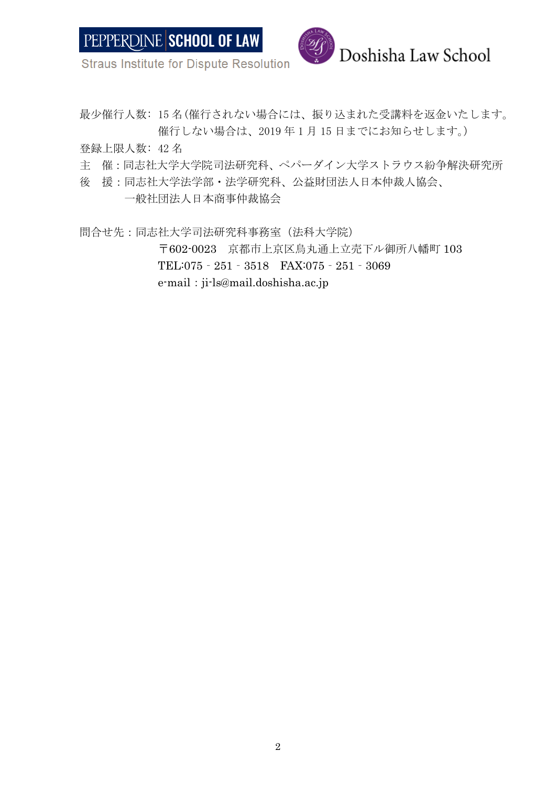

**Straus Institute for Dispute Resolution** 

最少催行人数: 15 名(催行されない場合には、振り込まれた受講料を返金いたします。 催行しない場合は、2019 年 1 月 15 日までにお知らせします。)

登録上限人数: 42 名

- 主 催:同志社大学大学院司法研究科、ペパーダイン大学ストラウス紛争解決研究所
- 後 援:同志社大学法学部・法学研究科、公益財団法人日本仲裁人協会、

一般社団法人日本商事仲裁協会

問合せ先:同志社大学司法研究科事務室(法科大学院) 〒602-0023 京都市上京区烏丸通上立売下ル御所八幡町 103 TEL:075‐251‐3518 FAX:075‐251‐3069 e-mail:ji-ls@mail.doshisha.ac.jp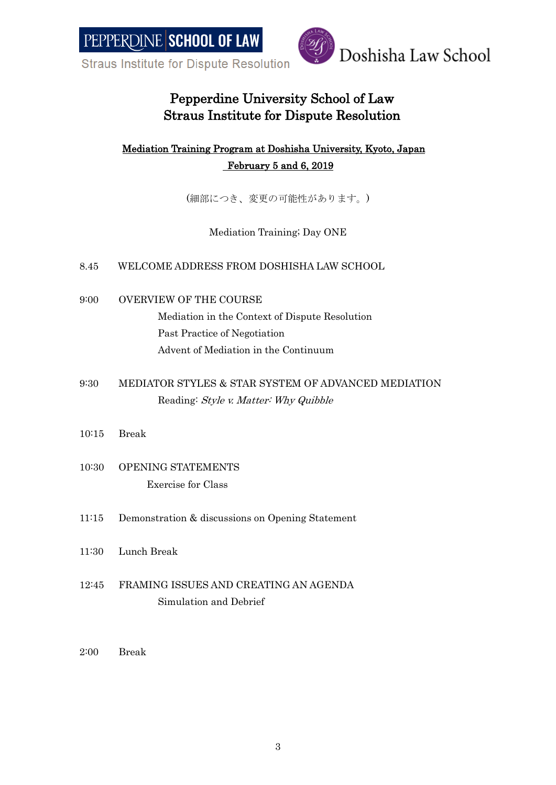**Straus Institute for Dispute Resolution** 



## Pepperdine University School of Law Straus Institute for Dispute Resolution

### Mediation Training Program at Doshisha University, Kyoto, Japan February 5 and 6, 2019

(細部につき、変更の可能性があります。)

Mediation Training; Day ONE

#### 8.45 WELCOME ADDRESS FROM DOSHISHA LAW SCHOOL

9:00 OVERVIEW OF THE COURSE

Mediation in the Context of Dispute Resolution Past Practice of Negotiation Advent of Mediation in the Continuum

- 9:30 MEDIATOR STYLES & STAR SYSTEM OF ADVANCED MEDIATION Reading: Style v. Matter: Why Quibble
- 10:15 Break
- 10:30 OPENING STATEMENTS Exercise for Class
- 11:15 Demonstration & discussions on Opening Statement
- 11:30 Lunch Break
- 12:45 FRAMING ISSUES AND CREATING AN AGENDA Simulation and Debrief
- 2:00 Break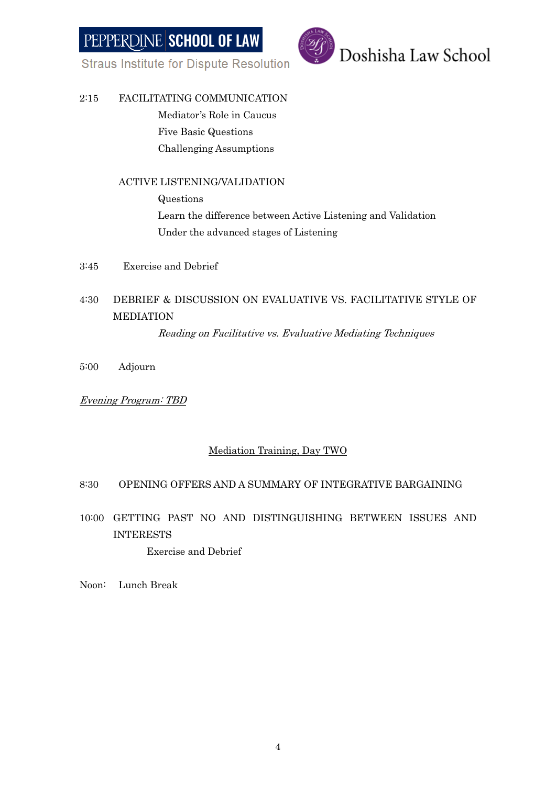**Straus Institute for Dispute Resolution** 



#### 2:15 FACILITATING COMMUNICATION

Mediator's Role in Caucus Five Basic Questions Challenging Assumptions

#### ACTIVE LISTENING/VALIDATION

Questions Learn the difference between Active Listening and Validation Under the advanced stages of Listening

3:45 Exercise and Debrief

### 4:30 DEBRIEF & DISCUSSION ON EVALUATIVE VS. FACILITATIVE STYLE OF MEDIATION

Reading on Facilitative vs. Evaluative Mediating Techniques

5:00 Adjourn

#### Evening Program: TBD

#### Mediation Training, Day TWO

#### 8:30 OPENING OFFERS AND A SUMMARY OF INTEGRATIVE BARGAINING

10:00 GETTING PAST NO AND DISTINGUISHING BETWEEN ISSUES AND INTERESTS

Exercise and Debrief

Noon: Lunch Break